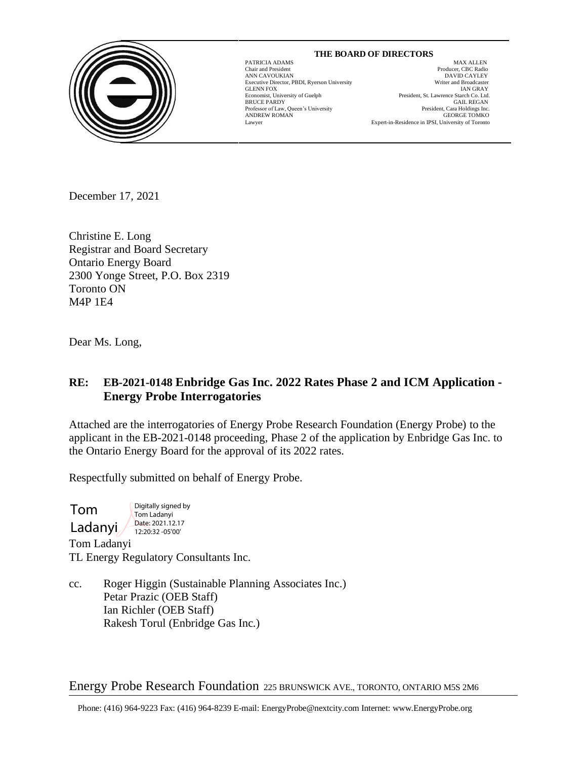

#### **THE BOARD OF DIRECTORS** PATRICIA ADAMS MAX ALLEN

GLENN FOX<br>GLENN FOX<br>Economist, University of Guelph

 $\overline{a}$ 

Chair and President Producer, CBC Radio ANN CAVOUKIAN<br>
Executive Director. PBDI. Ryerson University<br>
Executive Director. PBDI. Ryerson University<br>
Uniter and Broadcaster Executive Director, PBDI, Ryerson University Writer and Broadcaster President, St. Lawrence Starch Co. Ltd. BRUCE PARDY GAIL REGAN Professor of Law, Queen's University **Example 2018** President, Cara Holdings Inc. Professor of Law, Queen's University President, Cara Holdings Inc.<br>ANDREW ROMAN GEORGE TOMKO ANDREW ROMAN GEORGE TOMKO Lawyer Expert-in-Residence in IPSI, University of Toronto

December 17, 2021

Christine E. Long Registrar and Board Secretary Ontario Energy Board 2300 Yonge Street, P.O. Box 2319 Toronto ON M4P 1E4

Dear Ms. Long,

# **RE: EB-2021-0148 Enbridge Gas Inc. 2022 Rates Phase 2 and ICM Application - Energy Probe Interrogatories**

Attached are the interrogatories of Energy Probe Research Foundation (Energy Probe) to the applicant in the EB-2021-0148 proceeding, Phase 2 of the application by Enbridge Gas Inc. to the Ontario Energy Board for the approval of its 2022 rates.

Respectfully submitted on behalf of Energy Probe.

Tom Ladanyi Digitally signed by Tom Ladanyi Date: 2021.12.17 12:20:32 -05'00'

Tom Ladanyi TL Energy Regulatory Consultants Inc.

cc. Roger Higgin (Sustainable Planning Associates Inc.) Petar Prazic (OEB Staff) Ian Richler (OEB Staff) Rakesh Torul (Enbridge Gas Inc.)

Energy Probe Research Foundation 225 BRUNSWICK AVE., TORONTO, ONTARIO M5S 2M6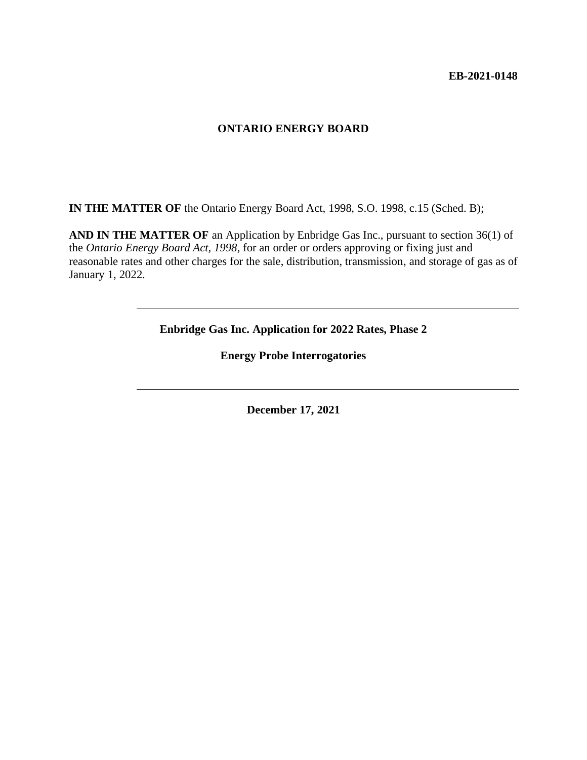#### **ONTARIO ENERGY BOARD**

**IN THE MATTER OF** the Ontario Energy Board Act, 1998, S.O. 1998, c.15 (Sched. B);

**AND IN THE MATTER OF** an Application by Enbridge Gas Inc., pursuant to section 36(1) of the *Ontario Energy Board Act, 1998*, for an order or orders approving or fixing just and reasonable rates and other charges for the sale, distribution, transmission, and storage of gas as of January 1, 2022.

**Enbridge Gas Inc. Application for 2022 Rates, Phase 2**

**Energy Probe Interrogatories**

**December 17, 2021**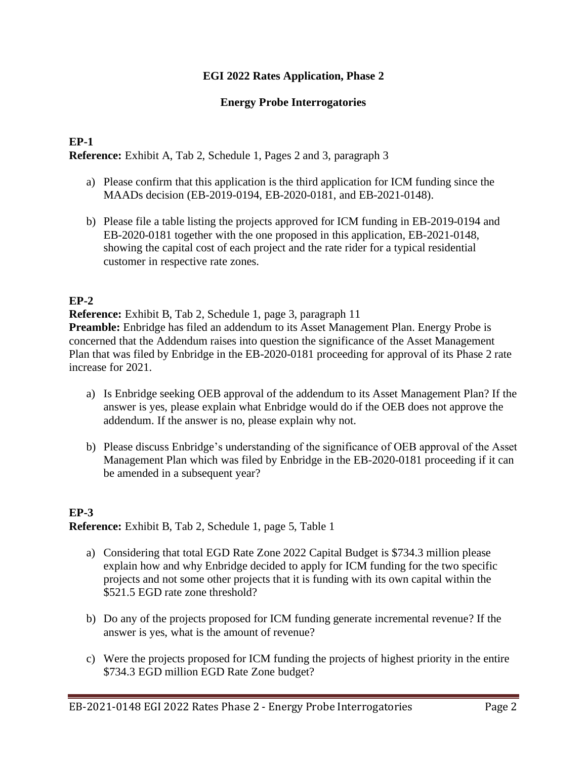## **EGI 2022 Rates Application, Phase 2**

### **Energy Probe Interrogatories**

## **EP-1**

**Reference:** Exhibit A, Tab 2, Schedule 1, Pages 2 and 3, paragraph 3

- a) Please confirm that this application is the third application for ICM funding since the MAADs decision (EB-2019-0194, EB-2020-0181, and EB-2021-0148).
- b) Please file a table listing the projects approved for ICM funding in EB-2019-0194 and EB-2020-0181 together with the one proposed in this application, EB-2021-0148, showing the capital cost of each project and the rate rider for a typical residential customer in respective rate zones.

# **EP-2**

**Reference:** Exhibit B, Tab 2, Schedule 1, page 3, paragraph 11

**Preamble:** Enbridge has filed an addendum to its Asset Management Plan. Energy Probe is concerned that the Addendum raises into question the significance of the Asset Management Plan that was filed by Enbridge in the EB-2020-0181 proceeding for approval of its Phase 2 rate increase for 2021.

- a) Is Enbridge seeking OEB approval of the addendum to its Asset Management Plan? If the answer is yes, please explain what Enbridge would do if the OEB does not approve the addendum. If the answer is no, please explain why not.
- b) Please discuss Enbridge's understanding of the significance of OEB approval of the Asset Management Plan which was filed by Enbridge in the EB-2020-0181 proceeding if it can be amended in a subsequent year?

## **EP-3 Reference:** Exhibit B, Tab 2, Schedule 1, page 5, Table 1

- a) Considering that total EGD Rate Zone 2022 Capital Budget is \$734.3 million please explain how and why Enbridge decided to apply for ICM funding for the two specific projects and not some other projects that it is funding with its own capital within the \$521.5 EGD rate zone threshold?
- b) Do any of the projects proposed for ICM funding generate incremental revenue? If the answer is yes, what is the amount of revenue?
- c) Were the projects proposed for ICM funding the projects of highest priority in the entire \$734.3 EGD million EGD Rate Zone budget?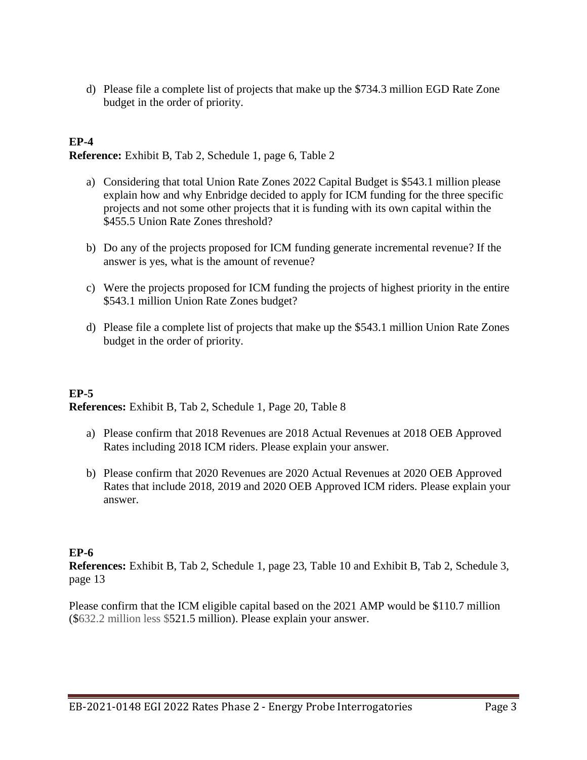d) Please file a complete list of projects that make up the \$734.3 million EGD Rate Zone budget in the order of priority.

# **EP-4**

**Reference:** Exhibit B, Tab 2, Schedule 1, page 6, Table 2

- a) Considering that total Union Rate Zones 2022 Capital Budget is \$543.1 million please explain how and why Enbridge decided to apply for ICM funding for the three specific projects and not some other projects that it is funding with its own capital within the \$455.5 Union Rate Zones threshold?
- b) Do any of the projects proposed for ICM funding generate incremental revenue? If the answer is yes, what is the amount of revenue?
- c) Were the projects proposed for ICM funding the projects of highest priority in the entire \$543.1 million Union Rate Zones budget?
- d) Please file a complete list of projects that make up the \$543.1 million Union Rate Zones budget in the order of priority.

#### **EP-5**

**References:** Exhibit B, Tab 2, Schedule 1, Page 20, Table 8

- a) Please confirm that 2018 Revenues are 2018 Actual Revenues at 2018 OEB Approved Rates including 2018 ICM riders. Please explain your answer.
- b) Please confirm that 2020 Revenues are 2020 Actual Revenues at 2020 OEB Approved Rates that include 2018, 2019 and 2020 OEB Approved ICM riders. Please explain your answer.

#### **EP-6**

**References:** Exhibit B, Tab 2, Schedule 1, page 23, Table 10 and Exhibit B, Tab 2, Schedule 3, page 13

Please confirm that the ICM eligible capital based on the 2021 AMP would be \$110.7 million (\$632.2 million less \$521.5 million). Please explain your answer.